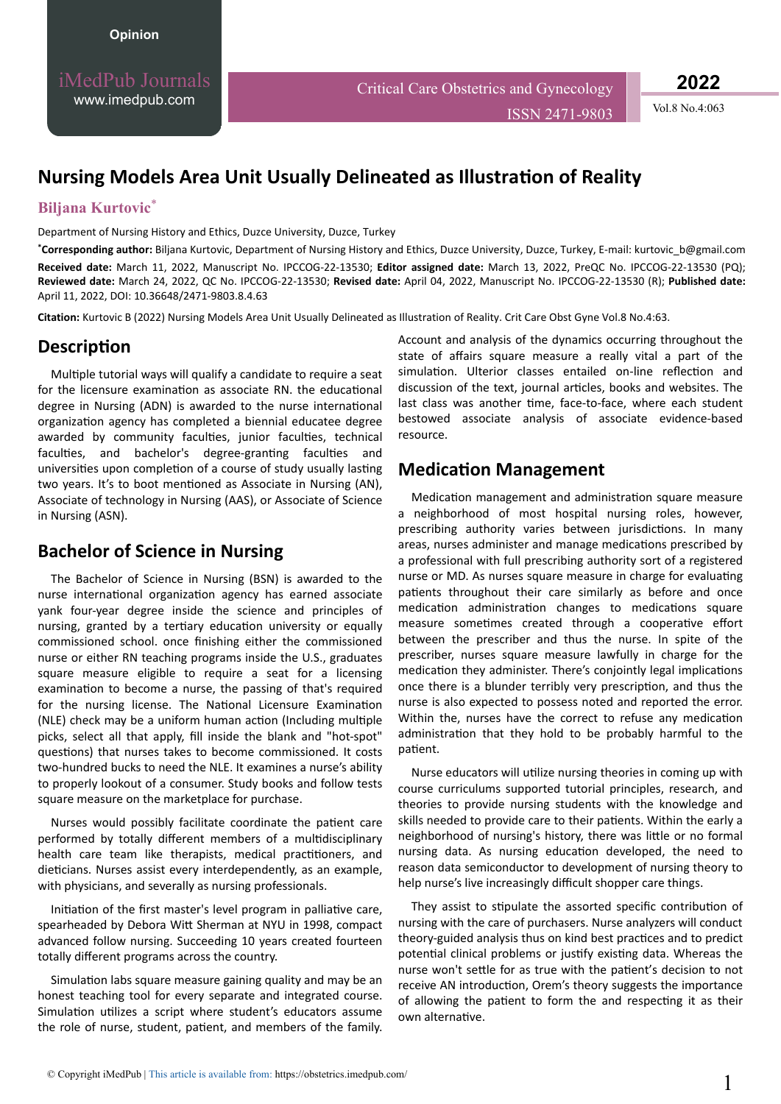iMedPub Journals [www.imedpub.com](http://www.imedpub.com/)

Critical Care Obstetrics and Gynecology

ISSN 2471-9803 Vol.8 No.4:063

**2022**

# **Nursing Models Area Unit Usually Delineated as Illustration of Reality**

### **Biljana Kurtovic**\*

Department of Nursing History and Ethics, Duzce University, Duzce, Turkey

**\*Corresponding author:** Biljana Kurtovic, Department of Nursing History and Ethics, Duzce University, Duzce, Turkey, E-mail: [kurtovic\\_b@gmail.com](mailto:kurtovic_b@gmail.com) **Received date:** March 11, 2022, Manuscript No. IPCCOG-22-13530; **Editor assigned date:** March 13, 2022, PreQC No. IPCCOG-22-13530 (PQ); **Reviewed date:** March 24, 2022, QC No. IPCCOG-22-13530; **Revised date:** April 04, 2022, Manuscript No. IPCCOG-22-13530 (R); **Published date:** April 11, 2022, DOI: 10.36648/2471-9803.8.4.63

**Citation:** Kurtovic B (2022) Nursing Models Area Unit Usually Delineated as Illustration of Reality. Crit Care Obst Gyne Vol.8 No.4:63.

## **Description**

Multiple tutorial ways will qualify a candidate to require a seat for the licensure examination as associate RN. the educational degree in Nursing (ADN) is awarded to the nurse international organization agency has completed a biennial educatee degree awarded by community faculties, junior faculties, technical faculties, and bachelor's degree-granting faculties and universities upon completion of a course of study usually lasting two years. It's to boot mentioned as Associate in Nursing (AN), Associate of technology in Nursing (AAS), or Associate of Science in Nursing (ASN).

## **Bachelor of Science in Nursing**

The Bachelor of Science in Nursing (BSN) is awarded to the nurse international organization agency has earned associate yank four-year degree inside the science and principles of nursing, granted by a tertiary education university or equally commissioned school. once finishing either the commissioned nurse or either RN teaching programs inside the U.S., graduates square measure eligible to require a seat for a licensing examination to become a nurse, the passing of that's required for the nursing license. The National Licensure Examination (NLE) check may be a uniform human action (Including multiple picks, select all that apply, fill inside the blank and "hot-spot" questions) that nurses takes to become commissioned. It costs two-hundred bucks to need the NLE. It examines a nurse's ability to properly lookout of a consumer. Study books and follow tests square measure on the marketplace for purchase.

Nurses would possibly facilitate coordinate the patient care performed by totally different members of a multidisciplinary health care team like therapists, medical practitioners, and dieticians. Nurses assist every interdependently, as an example, with physicians, and severally as nursing professionals.

Initiation of the first master's level program in palliative care, spearheaded by Debora Witt Sherman at NYU in 1998, compact advanced follow nursing. Succeeding 10 years created fourteen totally different programs across the country.

Simulation labs square measure gaining quality and may be an honest teaching tool for every separate and integrated course. Simulation utilizes a script where student's educators assume the role of nurse, student, patient, and members of the family.

Account and analysis of the dynamics occurring throughout the state of affairs square measure a really vital a part of the simulation. Ulterior classes entailed on-line reflection and discussion of the text, journal articles, books and websites. The last class was another time, face-to-face, where each student bestowed associate analysis of associate evidence-based resource.

## **Medication Management**

Medication management and administration square measure a neighborhood of most hospital nursing roles, however, prescribing authority varies between jurisdictions. In many areas, nurses administer and manage medications prescribed by a professional with full prescribing authority sort of a registered nurse or MD. As nurses square measure in charge for evaluating patients throughout their care similarly as before and once medication administration changes to medications square measure sometimes created through a cooperative effort between the prescriber and thus the nurse. In spite of the prescriber, nurses square measure lawfully in charge for the medication they administer. There's conjointly legal implications once there is a blunder terribly very prescription, and thus the nurse is also expected to possess noted and reported the error. Within the, nurses have the correct to refuse any medication administration that they hold to be probably harmful to the patient.

Nurse educators will utilize nursing theories in coming up with course curriculums supported tutorial principles, research, and theories to provide nursing students with the knowledge and skills needed to provide care to their patients. Within the early a neighborhood of nursing's history, there was little or no formal nursing data. As nursing education developed, the need to reason data semiconductor to development of nursing theory to help nurse's live increasingly difficult shopper care things.

They assist to stipulate the assorted specific contribution of nursing with the care of purchasers. Nurse analyzers will conduct theory-guided analysis thus on kind best practices and to predict potential clinical problems or justify existing data. Whereas the nurse won't settle for as true with the patient's decision to not receive AN introduction, Orem's theory suggests the importance of allowing the patient to form the and respecting it as their own alternative